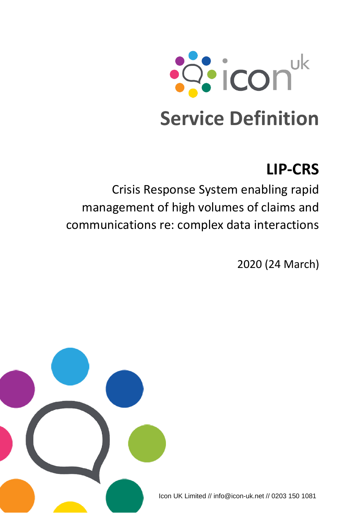

# **LIP-CRS**

Crisis Response System enabling rapid management of high volumes of claims and communications re: complex data interactions

2020 (24 March)



Icon UK Limited // info@icon-uk.net // 0203 150 1081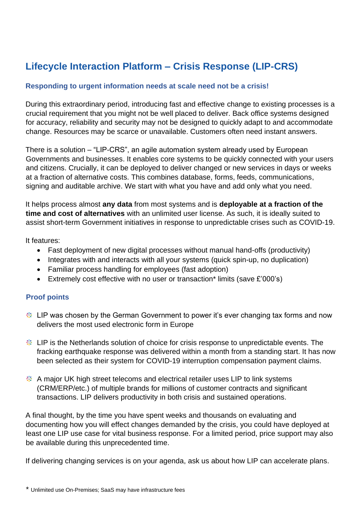# **Lifecycle Interaction Platform – Crisis Response (LIP-CRS)**

#### **Responding to urgent information needs at scale need not be a crisis!**

During this extraordinary period, introducing fast and effective change to existing processes is a crucial requirement that you might not be well placed to deliver. Back office systems designed for accuracy, reliability and security may not be designed to quickly adapt to and accommodate change. Resources may be scarce or unavailable. Customers often need instant answers.

There is a solution – "LIP-CRS", an agile automation system already used by European Governments and businesses. It enables core systems to be quickly connected with your users and citizens. Crucially, it can be deployed to deliver changed or new services in days or weeks at a fraction of alternative costs. This combines database, forms, feeds, communications, signing and auditable archive. We start with what you have and add only what you need.

It helps process almost **any data** from most systems and is **deployable at a fraction of the time and cost of alternatives** with an unlimited user license. As such, it is ideally suited to assist short-term Government initiatives in response to unpredictable crises such as COVID-19.

It features:

- Fast deployment of new digital processes without manual hand-offs (productivity)
- Integrates with and interacts with all your systems (quick spin-up, no duplication)
- Familiar process handling for employees (fast adoption)
- Extremely cost effective with no user or transaction\* limits (save £'000's)

#### **Proof points**

- **EXTERM** UP was chosen by the German Government to power it's ever changing tax forms and now delivers the most used electronic form in Europe
- **EXTERN**: LIP is the Netherlands solution of choice for crisis response to unpredictable events. The fracking earthquake response was delivered within a month from a standing start. It has now been selected as their system for COVID-19 interruption compensation payment claims.
- A major UK high street telecoms and electrical retailer uses LIP to link systems (CRM/ERP/etc.) of multiple brands for millions of customer contracts and significant transactions. LIP delivers productivity in both crisis and sustained operations.

A final thought, by the time you have spent weeks and thousands on evaluating and documenting how you will effect changes demanded by the crisis, you could have deployed at least one LIP use case for vital business response. For a limited period, price support may also be available during this unprecedented time.

If delivering changing services is on your agenda, ask us about how LIP can accelerate plans.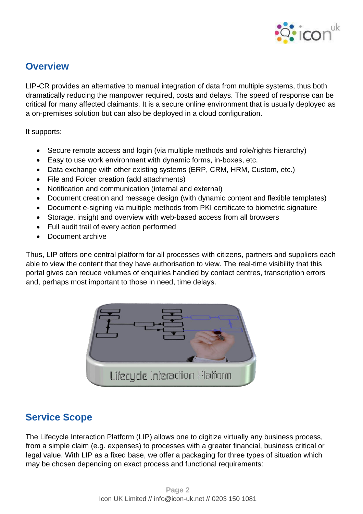

## **Overview**

LIP-CR provides an alternative to manual integration of data from multiple systems, thus both dramatically reducing the manpower required, costs and delays. The speed of response can be critical for many affected claimants. It is a secure online environment that is usually deployed as a on-premises solution but can also be deployed in a cloud configuration.

It supports:

- Secure remote access and login (via multiple methods and role/rights hierarchy)
- Easy to use work environment with dynamic forms, in-boxes, etc.
- Data exchange with other existing systems (ERP, CRM, HRM, Custom, etc.)
- File and Folder creation (add attachments)
- Notification and communication (internal and external)
- Document creation and message design (with dynamic content and flexible templates)
- Document e-signing via multiple methods from PKI certificate to biometric signature
- Storage, insight and overview with web-based access from all browsers
- Full audit trail of every action performed
- Document archive

Thus, LIP offers one central platform for all processes with citizens, partners and suppliers each able to view the content that they have authorisation to view. The real-time visibility that this portal gives can reduce volumes of enquiries handled by contact centres, transcription errors and, perhaps most important to those in need, time delays.



## **Service Scope**

The Lifecycle Interaction Platform (LIP) allows one to digitize virtually any business process, from a simple claim (e.g. expenses) to processes with a greater financial, business critical or legal value. With LIP as a fixed base, we offer a packaging for three types of situation which may be chosen depending on exact process and functional requirements: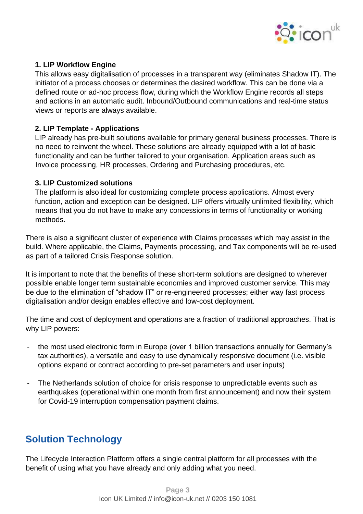

#### **1. LIP Workflow Engine**

This allows easy digitalisation of processes in a transparent way (eliminates Shadow IT). The initiator of a process chooses or determines the desired workflow. This can be done via a defined route or ad-hoc process flow, during which the Workflow Engine records all steps and actions in an automatic audit. Inbound/Outbound communications and real-time status views or reports are always available.

#### **2. LIP Template - Applications**

LIP already has pre-built solutions available for primary general business processes. There is no need to reinvent the wheel. These solutions are already equipped with a lot of basic functionality and can be further tailored to your organisation. Application areas such as Invoice processing, HR processes, Ordering and Purchasing procedures, etc.

#### **3. LIP Customized solutions**

The platform is also ideal for customizing complete process applications. Almost every function, action and exception can be designed. LIP offers virtually unlimited flexibility, which means that you do not have to make any concessions in terms of functionality or working methods.

There is also a significant cluster of experience with Claims processes which may assist in the build. Where applicable, the Claims, Payments processing, and Tax components will be re-used as part of a tailored Crisis Response solution.

It is important to note that the benefits of these short-term solutions are designed to wherever possible enable longer term sustainable economies and improved customer service. This may be due to the elimination of "shadow IT" or re-engineered processes; either way fast process digitalisation and/or design enables effective and low-cost deployment.

The time and cost of deployment and operations are a fraction of traditional approaches. That is why LIP powers:

- the most used electronic form in Europe (over 1 billion transactions annually for Germany's tax authorities), a versatile and easy to use dynamically responsive document (i.e. visible options expand or contract according to pre-set parameters and user inputs)
- The Netherlands solution of choice for crisis response to unpredictable events such as earthquakes (operational within one month from first announcement) and now their system for Covid-19 interruption compensation payment claims.

# **Solution Technology**

The Lifecycle Interaction Platform offers a single central platform for all processes with the benefit of using what you have already and only adding what you need.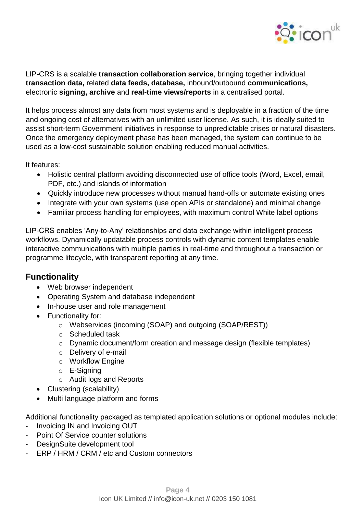

LIP-CRS is a scalable **transaction collaboration service**, bringing together individual **transaction data,** related **data feeds, database,** inbound/outbound **communications,**  electronic **signing, archive** and **real-time views/reports** in a centralised portal.

It helps process almost any data from most systems and is deployable in a fraction of the time and ongoing cost of alternatives with an unlimited user license. As such, it is ideally suited to assist short-term Government initiatives in response to unpredictable crises or natural disasters. Once the emergency deployment phase has been managed, the system can continue to be used as a low-cost sustainable solution enabling reduced manual activities.

It features:

- Holistic central platform avoiding disconnected use of office tools (Word, Excel, email, PDF, etc.) and islands of information
- Quickly introduce new processes without manual hand-offs or automate existing ones
- Integrate with your own systems (use open APIs or standalone) and minimal change
- Familiar process handling for employees, with maximum control White label options

LIP-CRS enables 'Any-to-Any' relationships and data exchange within intelligent process workflows. Dynamically updatable process controls with dynamic content templates enable interactive communications with multiple parties in real-time and throughout a transaction or programme lifecycle, with transparent reporting at any time.

## **Functionality**

- Web browser independent
- Operating System and database independent
- In-house user and role management
- Functionality for:
	- o Webservices (incoming (SOAP) and outgoing (SOAP/REST))
	- o Scheduled task
	- o Dynamic document/form creation and message design (flexible templates)
	- o Delivery of e-mail
	- o Workflow Engine
	- o E-Signing
	- o Audit logs and Reports
- Clustering (scalability)
- Multi language platform and forms

Additional functionality packaged as templated application solutions or optional modules include:

- Invoicing IN and Invoicing OUT
- Point Of Service counter solutions
- DesignSuite development tool
- ERP / HRM / CRM / etc and Custom connectors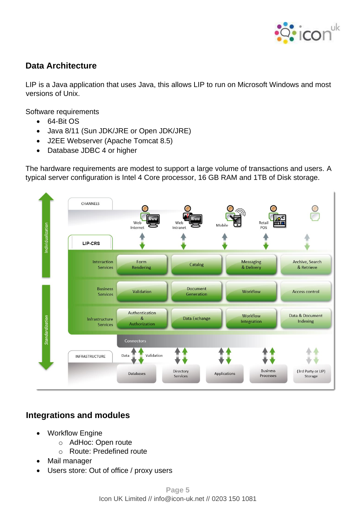

## **Data Architecture**

LIP is a Java application that uses Java, this allows LIP to run on Microsoft Windows and most versions of Unix.

Software requirements

- 64-Bit OS
- Java 8/11 (Sun JDK/JRE or Open JDK/JRE)
- J2EE Webserver (Apache Tomcat 8.5)
- Database JDBC 4 or higher

The hardware requirements are modest to support a large volume of transactions and users. A typical server configuration is Intel 4 Core processor, 16 GB RAM and 1TB of Disk storage.



## **Integrations and modules**

- **Workflow Engine** 
	- o AdHoc: Open route
	- o Route: Predefined route
- Mail manager
- Users store: Out of office / proxy users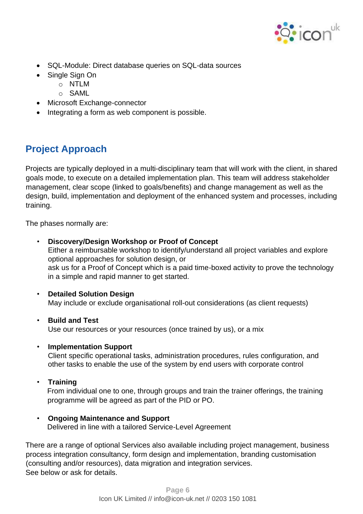

- SQL-Module: Direct database queries on SQL-data sources
- Single Sign On
	- o NTLM
	- o SAML
- Microsoft Exchange-connector
- Integrating a form as web component is possible.

# **Project Approach**

Projects are typically deployed in a multi-disciplinary team that will work with the client, in shared goals mode, to execute on a detailed implementation plan. This team will address stakeholder management, clear scope (linked to goals/benefits) and change management as well as the design, build, implementation and deployment of the enhanced system and processes, including training.

The phases normally are:

- **Discovery/Design Workshop or Proof of Concept** Either a reimbursable workshop to identify/understand all project variables and explore optional approaches for solution design, or ask us for a Proof of Concept which is a paid time-boxed activity to prove the technology in a simple and rapid manner to get started.
- **Detailed Solution Design** May include or exclude organisational roll-out considerations (as client requests)
- **Build and Test** Use our resources or your resources (once trained by us), or a mix
- **Implementation Support**

Client specific operational tasks, administration procedures, rules configuration, and other tasks to enable the use of the system by end users with corporate control

• **Training**

From individual one to one, through groups and train the trainer offerings, the training programme will be agreed as part of the PID or PO.

#### • **Ongoing Maintenance and Support**

Delivered in line with a tailored Service-Level Agreement

There are a range of optional Services also available including project management, business process integration consultancy, form design and implementation, branding customisation (consulting and/or resources), data migration and integration services. See below or ask for details.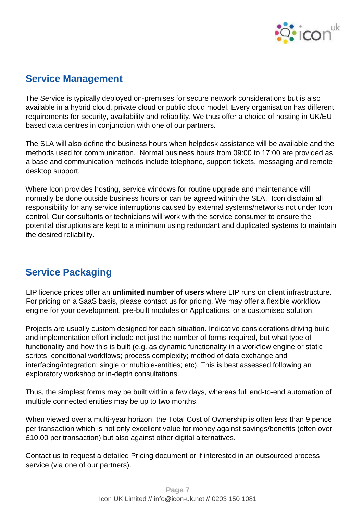

## **Service Management**

The Service is typically deployed on-premises for secure network considerations but is also available in a hybrid cloud, private cloud or public cloud model. Every organisation has different requirements for security, availability and reliability. We thus offer a choice of hosting in UK/EU based data centres in conjunction with one of our partners.

The SLA will also define the business hours when helpdesk assistance will be available and the methods used for communication. Normal business hours from 09:00 to 17:00 are provided as a base and communication methods include telephone, support tickets, messaging and remote desktop support.

Where Icon provides hosting, service windows for routine upgrade and maintenance will normally be done outside business hours or can be agreed within the SLA. Icon disclaim all responsibility for any service interruptions caused by external systems/networks not under Icon control. Our consultants or technicians will work with the service consumer to ensure the potential disruptions are kept to a minimum using redundant and duplicated systems to maintain the desired reliability.

# **Service Packaging**

LIP licence prices offer an **unlimited number of users** where LIP runs on client infrastructure. For pricing on a SaaS basis, please contact us for pricing. We may offer a flexible workflow engine for your development, pre-built modules or Applications, or a customised solution.

Projects are usually custom designed for each situation. Indicative considerations driving build and implementation effort include not just the number of forms required, but what type of functionality and how this is built (e.g. as dynamic functionality in a workflow engine or static scripts; conditional workflows; process complexity; method of data exchange and interfacing/integration; single or multiple-entities; etc). This is best assessed following an exploratory workshop or in-depth consultations.

Thus, the simplest forms may be built within a few days, whereas full end-to-end automation of multiple connected entities may be up to two months.

When viewed over a multi-year horizon, the Total Cost of Ownership is often less than 9 pence per transaction which is not only excellent value for money against savings/benefits (often over £10.00 per transaction) but also against other digital alternatives.

Contact us to request a detailed Pricing document or if interested in an outsourced process service (via one of our partners).